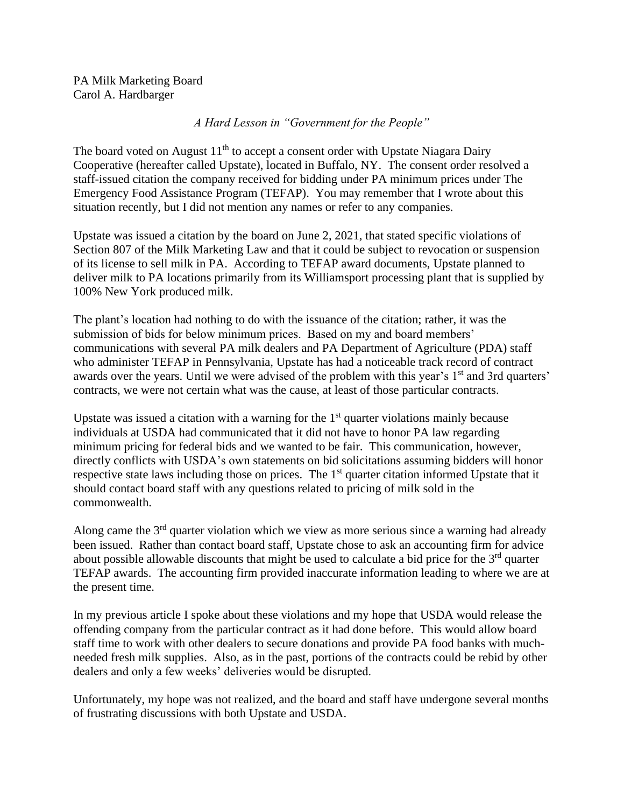PA Milk Marketing Board Carol A. Hardbarger

*A Hard Lesson in "Government for the People"*

The board voted on August  $11<sup>th</sup>$  to accept a consent order with Upstate Niagara Dairy Cooperative (hereafter called Upstate), located in Buffalo, NY. The consent order resolved a staff-issued citation the company received for bidding under PA minimum prices under The Emergency Food Assistance Program (TEFAP). You may remember that I wrote about this situation recently, but I did not mention any names or refer to any companies.

Upstate was issued a citation by the board on June 2, 2021, that stated specific violations of Section 807 of the Milk Marketing Law and that it could be subject to revocation or suspension of its license to sell milk in PA. According to TEFAP award documents, Upstate planned to deliver milk to PA locations primarily from its Williamsport processing plant that is supplied by 100% New York produced milk.

The plant's location had nothing to do with the issuance of the citation; rather, it was the submission of bids for below minimum prices. Based on my and board members' communications with several PA milk dealers and PA Department of Agriculture (PDA) staff who administer TEFAP in Pennsylvania, Upstate has had a noticeable track record of contract awards over the years. Until we were advised of the problem with this year's 1<sup>st</sup> and 3rd quarters' contracts, we were not certain what was the cause, at least of those particular contracts.

Upstate was issued a citation with a warning for the  $1<sup>st</sup>$  quarter violations mainly because individuals at USDA had communicated that it did not have to honor PA law regarding minimum pricing for federal bids and we wanted to be fair. This communication, however, directly conflicts with USDA's own statements on bid solicitations assuming bidders will honor respective state laws including those on prices. The 1<sup>st</sup> quarter citation informed Upstate that it should contact board staff with any questions related to pricing of milk sold in the commonwealth.

Along came the  $3<sup>rd</sup>$  quarter violation which we view as more serious since a warning had already been issued. Rather than contact board staff, Upstate chose to ask an accounting firm for advice about possible allowable discounts that might be used to calculate a bid price for the  $3<sup>rd</sup>$  quarter TEFAP awards. The accounting firm provided inaccurate information leading to where we are at the present time.

In my previous article I spoke about these violations and my hope that USDA would release the offending company from the particular contract as it had done before. This would allow board staff time to work with other dealers to secure donations and provide PA food banks with muchneeded fresh milk supplies. Also, as in the past, portions of the contracts could be rebid by other dealers and only a few weeks' deliveries would be disrupted.

Unfortunately, my hope was not realized, and the board and staff have undergone several months of frustrating discussions with both Upstate and USDA.